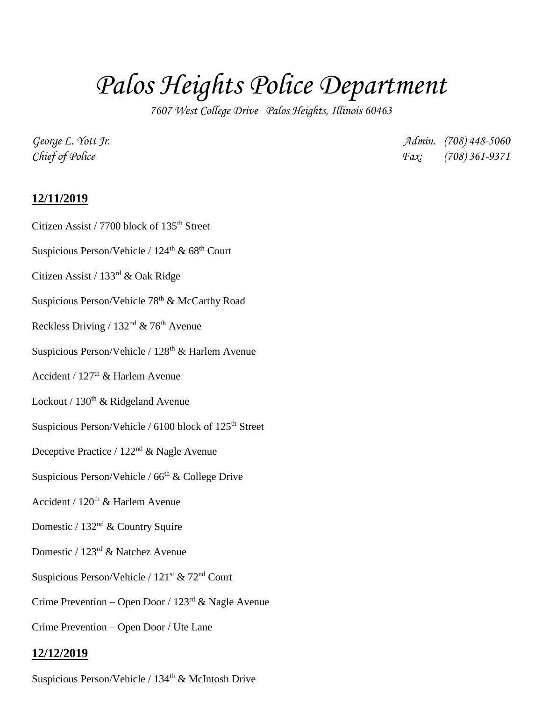## *Palos Heights Police Department*

*7607 West College Drive Palos Heights, Illinois 60463*

*George L. Yott Jr. Admin. (708) 448-5060 Chief of Police Fax: (708) 361-9371*

## **12/11/2019**

- Citizen Assist / 7700 block of 135<sup>th</sup> Street
- Suspicious Person/Vehicle /  $124<sup>th</sup>$  & 68<sup>th</sup> Court
- Citizen Assist / 133rd & Oak Ridge
- Suspicious Person/Vehicle 78<sup>th</sup> & McCarthy Road
- Reckless Driving /  $132<sup>nd</sup>$  & 76<sup>th</sup> Avenue
- Suspicious Person/Vehicle / 128<sup>th</sup> & Harlem Avenue
- Accident /  $127<sup>th</sup>$  & Harlem Avenue
- Lockout /  $130^{\text{th}}$  & Ridgeland Avenue
- Suspicious Person/Vehicle / 6100 block of  $125<sup>th</sup>$  Street
- Deceptive Practice / 122nd & Nagle Avenue
- Suspicious Person/Vehicle /  $66<sup>th</sup>$  & College Drive
- Accident /  $120<sup>th</sup>$  & Harlem Avenue
- Domestic / 132nd & Country Squire
- Domestic / 123rd & Natchez Avenue
- Suspicious Person/Vehicle / 121<sup>st</sup> & 72<sup>nd</sup> Court
- Crime Prevention Open Door /  $123<sup>rd</sup>$  & Nagle Avenue
- Crime Prevention Open Door / Ute Lane

## **12/12/2019**

Suspicious Person/Vehicle / 134<sup>th</sup> & McIntosh Drive